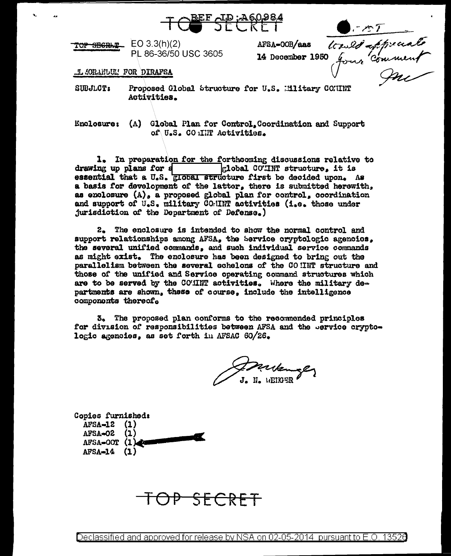

| TOP SEGRAT | EO $3.3(h)(2)$       |
|------------|----------------------|
|            | PL 86-36/50 USC 3605 |

.I. JORANLUM FOR DIRAFSA

D. 084<br>AFSA-00B/aas les les fiscals<br>14 December 1950 Jour Comment **SUBJLCT:** Proposed Global Structure for U.S. Military COMINT Activities.

Enclosure: (A) Global Plan for Control. Coordination and Support of U.S. CO INT Activities.

1. In preparation for the forthcoming discussions relative to drawing up plans for s clobal COTINT structure, it is essential that a U.S. **Elobal structure first** be decided upon. As a basis for development of the latter, there is submitted herewith. as enclosure (A), a proposed global plan for control, coordination and support of U.S. military COMINT activities (i.e. those under jurisdiction of the Department of Defense.)

2. The enclosure is intended to show the normal control and support relationships among AFSA. the Service cryptologic agencies. the several unified commands, and such individual service commands as might exist. The enclosure has been designed to bring out the parallelism between the several echelons of the CO HNT structure and those of the unified and Service operating command structures which are to be served by the COMMT activities. Where the military departments are shown, these of course, include the intelligence components thereof.

3. The proposed plan conforms to the recommended principles for division of responsibilities between AFSA and the pervice cryptologic agencies, as set forth in AFSAC 60/26.

Frederick

Copies furnished:  $AFSA = 12$  (1) AFSA-02  $(1)$ AFSA-OOT (1)  $AFSA=14$   $(1)$ 

<del>OP SECRET</del>